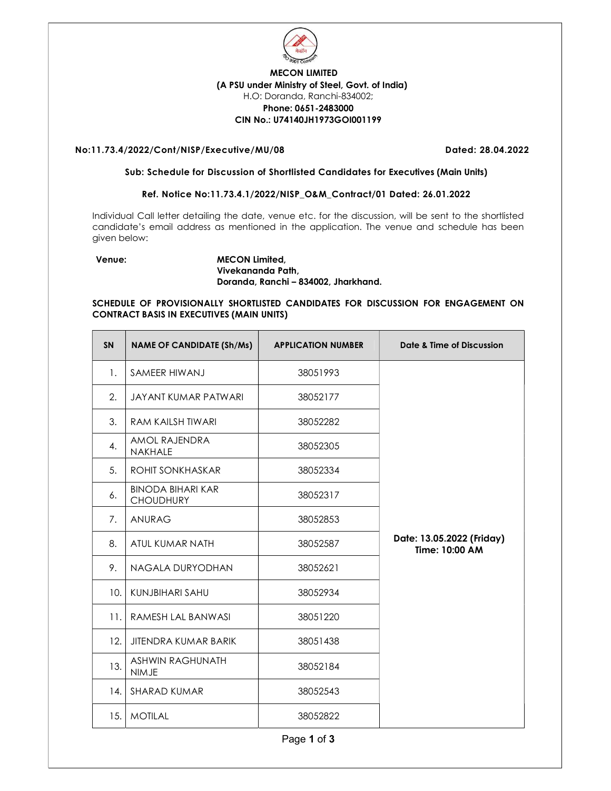

# MECON LIMITED (A PSU under Ministry of Steel, Govt. of India) H.O: Doranda, Ranchi-834002; Phone: 0651-2483000 CIN No.: U74140JH1973GOI001199

# No:11.73.4/2022/Cont/NISP/Executive/MU/08 Dated: 28.04.2022

#### Sub: Schedule for Discussion of Shortlisted Candidates for Executives (Main Units)

# Ref. Notice No:11.73.4.1/2022/NISP\_O&M\_Contract/01 Dated: 26.01.2022

Individual Call letter detailing the date, venue etc. for the discussion, will be sent to the shortlisted candidate's email address as mentioned in the application. The venue and schedule has been given below:

# Venue: MECON Limited, Vivekananda Path, Doranda, Ranchi – 834002, Jharkhand.

# SCHEDULE OF PROVISIONALLY SHORTLISTED CANDIDATES FOR DISCUSSION FOR ENGAGEMENT ON CONTRACT BASIS IN EXECUTIVES (MAIN UNITS)

| <b>SN</b> | <b>NAME OF CANDIDATE (Sh/Ms)</b>             | <b>APPLICATION NUMBER</b> | Date & Time of Discussion                   |
|-----------|----------------------------------------------|---------------------------|---------------------------------------------|
| 1.        | SAMEER HIWANJ                                | 38051993                  |                                             |
| 2.        | JAYANT KUMAR PATWARI                         | 38052177                  |                                             |
| 3.        | <b>RAM KAILSH TIWARI</b>                     | 38052282                  |                                             |
| 4.        | AMOL RAJENDRA<br>NAKHALE                     | 38052305                  |                                             |
| 5.        | ROHIT SONKHASKAR                             | 38052334                  |                                             |
| 6.        | <b>BINODA BIHARI KAR</b><br><b>CHOUDHURY</b> | 38052317                  |                                             |
| 7.        | <b>ANURAG</b>                                | 38052853                  |                                             |
| 8.        | ATUL KUMAR NATH                              | 38052587                  | Date: 13.05.2022 (Friday)<br>Time: 10:00 AM |
| 9.        | NAGALA DURYODHAN                             | 38052621                  |                                             |
| 10.       | KUNJBIHARI SAHU                              | 38052934                  |                                             |
| 11.       | RAMESH LAL BANWASI                           | 38051220                  |                                             |
| 12.       | <b>JITENDRA KUMAR BARIK</b>                  | 38051438                  |                                             |
| 13.       | <b>ASHWIN RAGHUNATH</b><br><b>NIMJE</b>      | 38052184                  |                                             |
| 14.       | SHARAD KUMAR                                 | 38052543                  |                                             |
| 15.       | <b>MOTILAL</b>                               | 38052822                  |                                             |
|           |                                              | Page 1 of 3               |                                             |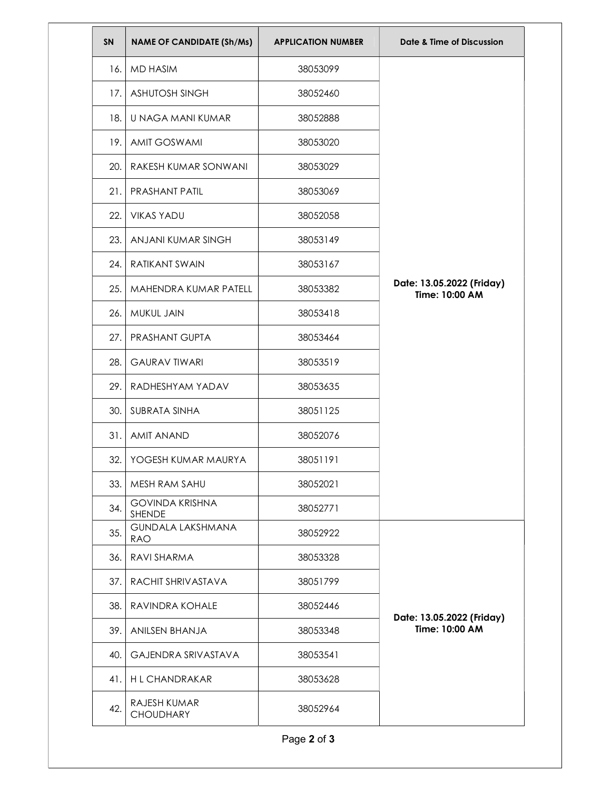| SN  | <b>NAME OF CANDIDATE (Sh/Ms)</b>       | <b>APPLICATION NUMBER</b> | Date & Time of Discussion                   |
|-----|----------------------------------------|---------------------------|---------------------------------------------|
| 16. | MD HASIM                               | 38053099                  | Date: 13.05.2022 (Friday)<br>Time: 10:00 AM |
| 17. | <b>ASHUTOSH SINGH</b>                  | 38052460                  |                                             |
| 18. | U NAGA MANI KUMAR                      | 38052888                  |                                             |
| 19. | <b>AMIT GOSWAMI</b>                    | 38053020                  |                                             |
| 20. | RAKESH KUMAR SONWANI                   | 38053029                  |                                             |
| 21. | <b>PRASHANT PATIL</b>                  | 38053069                  |                                             |
| 22. | <b>VIKAS YADU</b>                      | 38052058                  |                                             |
| 23. | ANJANI KUMAR SINGH                     | 38053149                  |                                             |
| 24. | <b>RATIKANT SWAIN</b>                  | 38053167                  |                                             |
| 25. | MAHENDRA KUMAR PATELL                  | 38053382                  |                                             |
| 26. | MUKUL JAIN                             | 38053418                  |                                             |
| 27. | PRASHANT GUPTA                         | 38053464                  |                                             |
| 28. | <b>GAURAV TIWARI</b>                   | 38053519                  |                                             |
| 29. | RADHESHYAM YADAV                       | 38053635                  |                                             |
| 30. | SUBRATA SINHA                          | 38051125                  |                                             |
| 31. | <b>AMIT ANAND</b>                      | 38052076                  |                                             |
| 32. | YOGESH KUMAR MAURYA                    | 38051191                  |                                             |
| 33. | MESH RAM SAHU                          | 38052021                  |                                             |
| 34. | <b>GOVINDA KRISHNA</b><br>SHENDE       | 38052771                  |                                             |
| 35. | <b>GUNDALA LAKSHMANA</b><br><b>RAO</b> | 38052922                  | Date: 13.05.2022 (Friday)<br>Time: 10:00 AM |
| 36. | RAVI SHARMA                            | 38053328                  |                                             |
| 37. | RACHIT SHRIVASTAVA                     | 38051799                  |                                             |
| 38. | RAVINDRA KOHALE                        | 38052446                  |                                             |
| 39. | ANILSEN BHANJA                         | 38053348                  |                                             |
| 40. | <b>GAJENDRA SRIVASTAVA</b>             | 38053541                  |                                             |
| 41. | <b>HL CHANDRAKAR</b>                   | 38053628                  |                                             |
| 42. | RAJESH KUMAR<br><b>CHOUDHARY</b>       | 38052964                  |                                             |
|     |                                        | Page 2 of 3               |                                             |